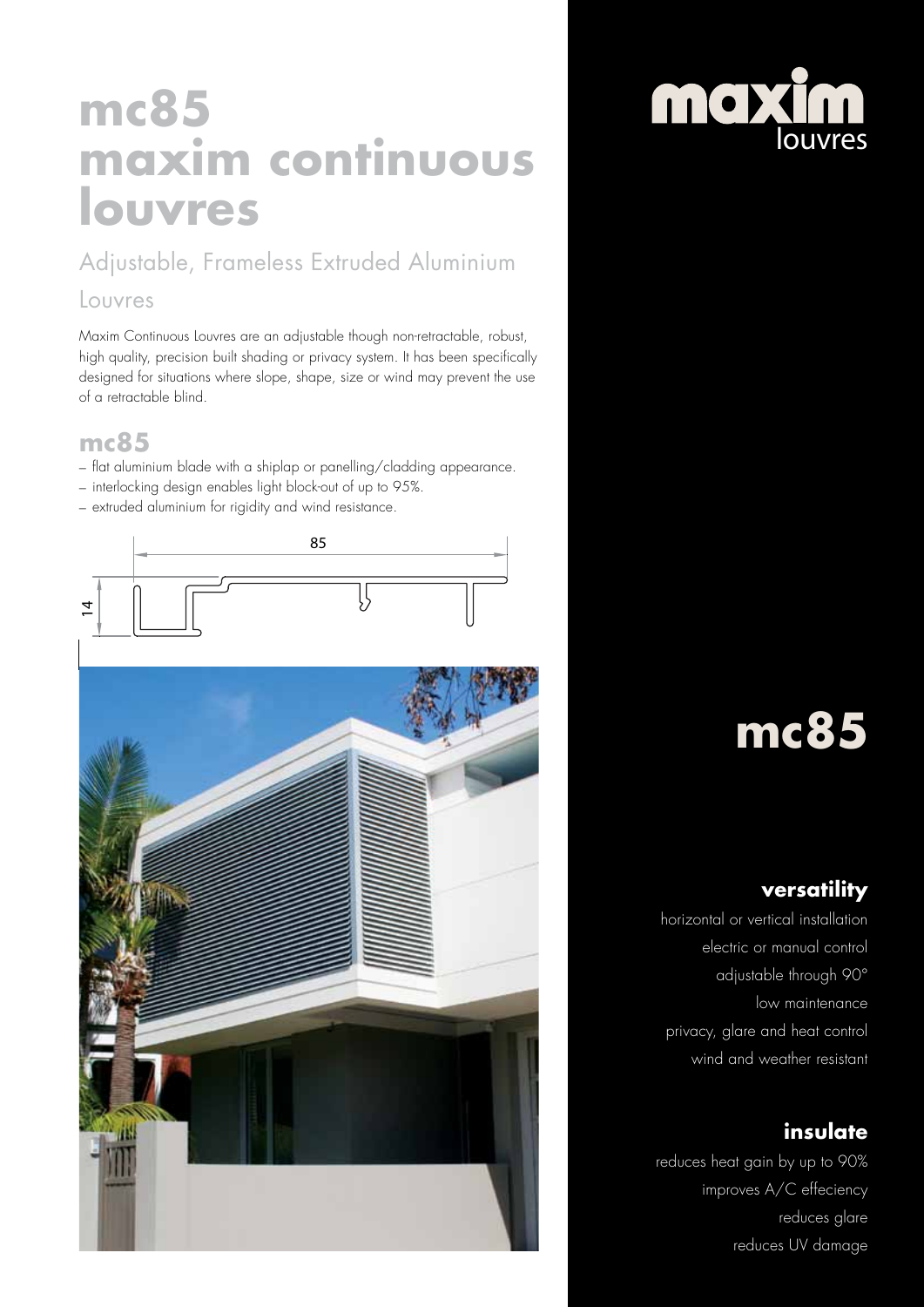## **mc85 maxim continuous louvres**

### Adjustable, Frameless Extruded Aluminium

#### Louvres

Maxim Continuous Louvres are an adjustable though non-retractable, robust, high quality, precision built shading or privacy system. It has been specifically designed for situations where slope, shape, size or wind may prevent the use of a retractable blind.

#### **mc85**

- flat aluminium blade with a shiplap or panelling/cladding appearance.
- interlocking design enables light block-out of up to 95%.
- extruded aluminium for rigidity and wind resistance.





# **mc85**

### **versatility**

horizontal or vertical installation electric or manual control adjustable through 90° low maintenance privacy, glare and heat control wind and weather resistant

### **insulate**

reduces heat gain by up to 90% improves A/C effeciency reduces glare reduces UV damage